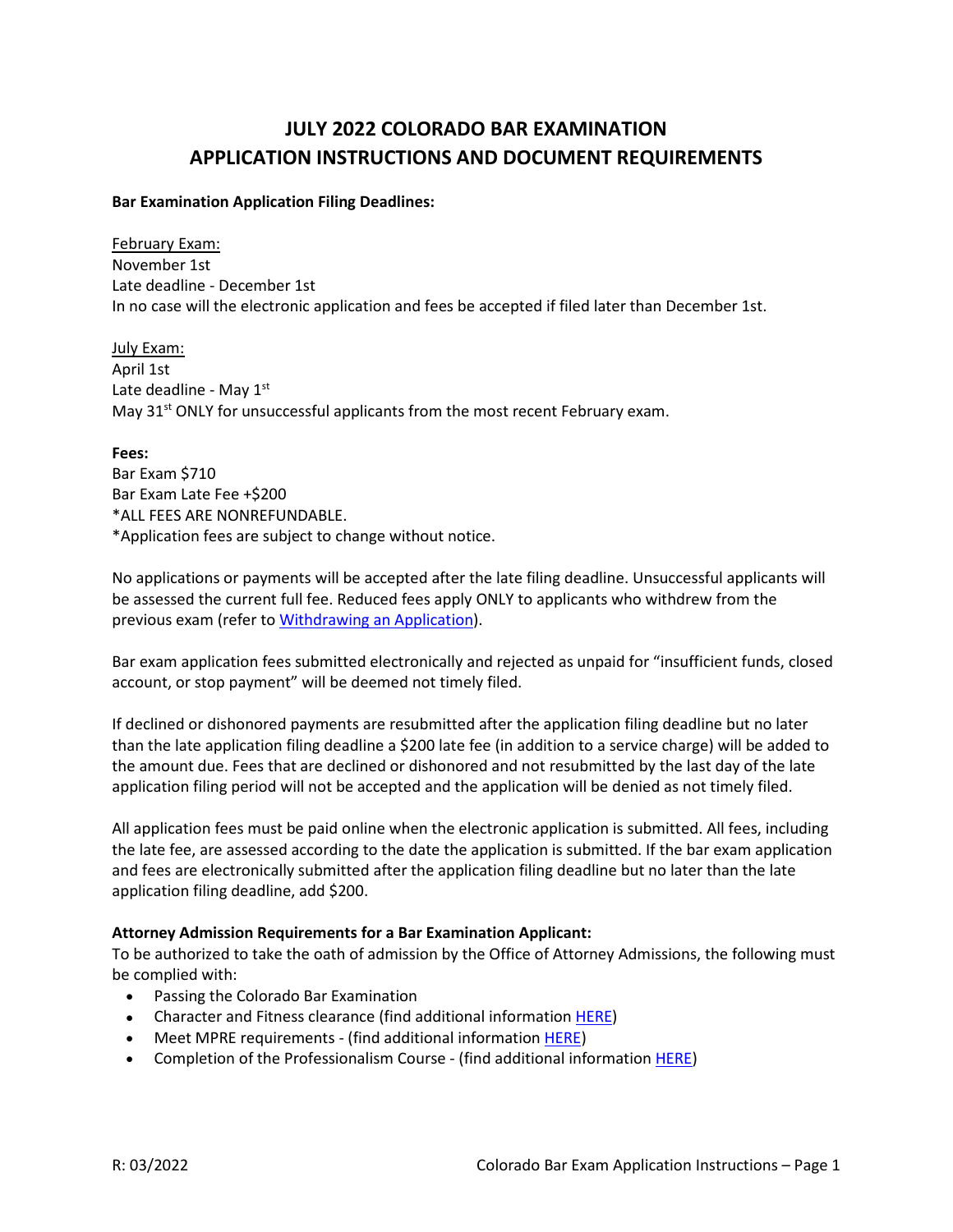# **JULY 2022 COLORADO BAR EXAMINATION APPLICATION INSTRUCTIONS AND DOCUMENT REQUIREMENTS**

#### **Bar Examination Application Filing Deadlines:**

February Exam: November 1st Late deadline - December 1st In no case will the electronic application and fees be accepted if filed later than December 1st.

July Exam: April 1st Late deadline - May  $1<sup>st</sup>$ May 31<sup>st</sup> ONLY for unsuccessful applicants from the most recent February exam.

#### **Fees:**

Bar Exam \$710 Bar Exam Late Fee +\$200 \*ALL FEES ARE NONREFUNDABLE. \*Application fees are subject to change without notice.

No applications or payments will be accepted after the late filing deadline. Unsuccessful applicants will be assessed the current full fee. Reduced fees apply ONLY to applicants who withdrew from the previous exam (refer t[o Withdrawing an Application\)](https://www.coloradosupremecourt.com/Future%20Lawyers/WithdrawApplication.asp).

Bar exam application fees submitted electronically and rejected as unpaid for "insufficient funds, closed account, or stop payment" will be deemed not timely filed.

If declined or dishonored payments are resubmitted after the application filing deadline but no later than the late application filing deadline a \$200 late fee (in addition to a service charge) will be added to the amount due. Fees that are declined or dishonored and not resubmitted by the last day of the late application filing period will not be accepted and the application will be denied as not timely filed.

All application fees must be paid online when the electronic application is submitted. All fees, including the late fee, are assessed according to the date the application is submitted. If the bar exam application and fees are electronically submitted after the application filing deadline but no later than the late application filing deadline, add \$200.

## **Attorney Admission Requirements for a Bar Examination Applicant:**

To be authorized to take the oath of admission by the Office of Attorney Admissions, the following must be complied with:

- Passing the Colorado Bar Examination
- Character and Fitness clearance (find additional information [HERE\)](https://coloradosupremecourt.com/PDF/BLE/CharaFitProcess.pdf)
- Meet MPRE requirements (find additional information [HERE\)](https://www.coloradosupremecourt.com/Future%20Lawyers/MPRE.asp)
- Completion of the Professionalism Course (find additional information **HERE)**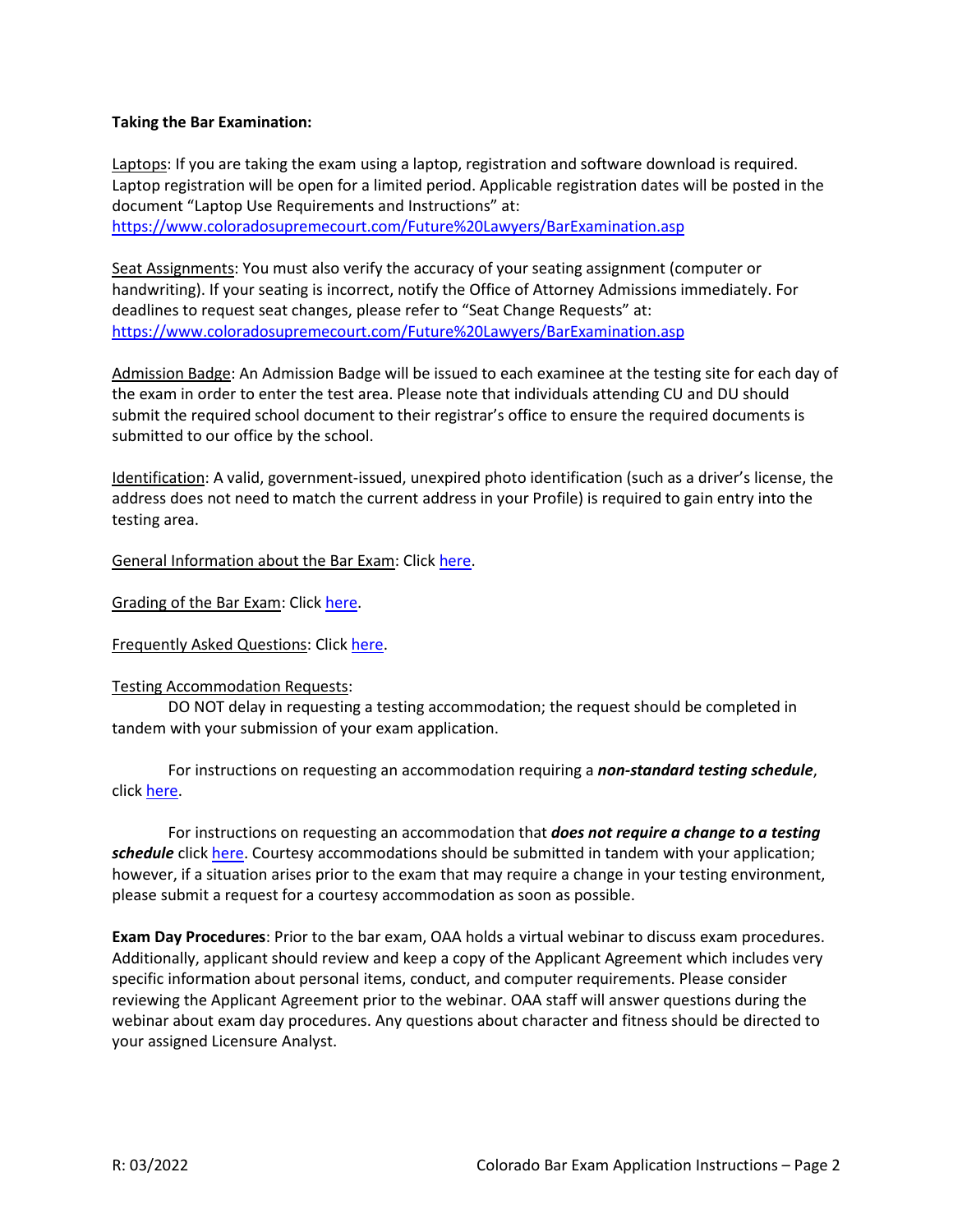#### **Taking the Bar Examination:**

Laptops: If you are taking the exam using a laptop, registration and software download is required. Laptop registration will be open for a limited period. Applicable registration dates will be posted in the document "Laptop Use Requirements and Instructions" at: <https://www.coloradosupremecourt.com/Future%20Lawyers/BarExamination.asp>

Seat Assignments: You must also verify the accuracy of your seating assignment (computer or handwriting). If your seating is incorrect, notify the Office of Attorney Admissions immediately. For deadlines to request seat changes, please refer to "Seat Change Requests" at: <https://www.coloradosupremecourt.com/Future%20Lawyers/BarExamination.asp>

Admission Badge: An Admission Badge will be issued to each examinee at the testing site for each day of the exam in order to enter the test area. Please note that individuals attending CU and DU should submit the required school document to their registrar's office to ensure the required documents is submitted to our office by the school.

Identification: A valid, government-issued, unexpired photo identification (such as a driver's license, the address does not need to match the current address in your Profile) is required to gain entry into the testing area.

General Information about the Bar Exam: Click [here.](https://coloradosupremecourt.com/Future%20Lawyers/AboutBarExam.asp)

Grading of the Bar Exam: Click [here.](https://coloradosupremecourt.com/Future%20Lawyers/HolisticGrading.asp)

Frequently Asked Questions: Click [here.](https://coloradosupremecourt.com/Future%20Lawyers/FAQ_Admissions.asp)

#### Testing Accommodation Requests:

DO NOT delay in requesting a testing accommodation; the request should be completed in tandem with your submission of your exam application.

For instructions on requesting an accommodation requiring a *non-standard testing schedule*, click [here.](https://coloradosupremecourt.com/Future%20Lawyers/TestingAccommodations.asp)

For instructions on requesting an accommodation that *does not require a change to a testing schedule* click [here.](https://coloradosupremecourt.com/Future%20Lawyers/TestingAccommodations.asp) Courtesy accommodations should be submitted in tandem with your application; however, if a situation arises prior to the exam that may require a change in your testing environment, please submit a request for a courtesy accommodation as soon as possible.

**Exam Day Procedures**: Prior to the bar exam, OAA holds a virtual webinar to discuss exam procedures. Additionally, applicant should review and keep a copy of the Applicant Agreement which includes very specific information about personal items, conduct, and computer requirements. Please consider reviewing the Applicant Agreement prior to the webinar. OAA staff will answer questions during the webinar about exam day procedures. Any questions about character and fitness should be directed to your assigned Licensure Analyst.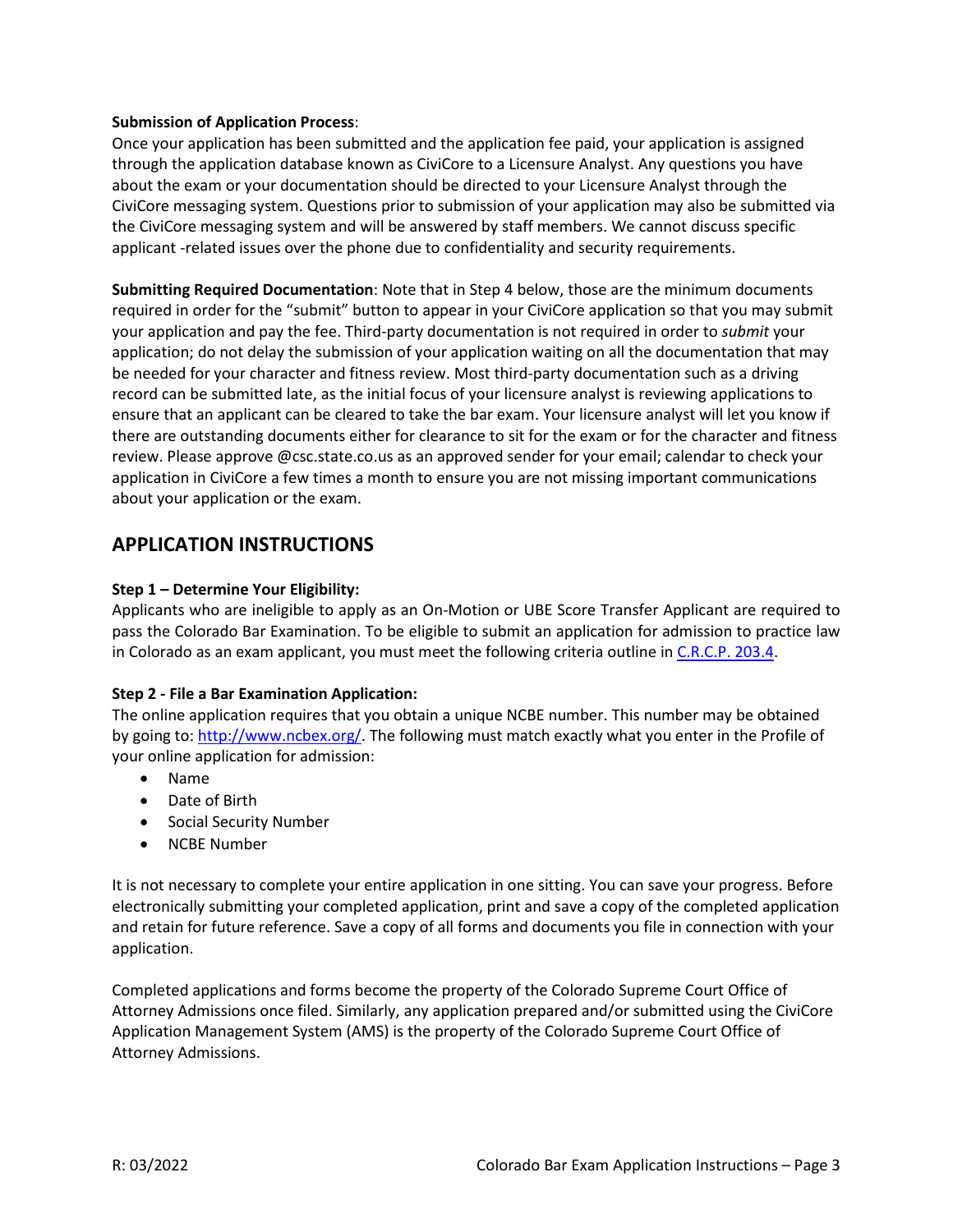#### **Submission of Application Process**:

Once your application has been submitted and the application fee paid, your application is assigned through the application database known as CiviCore to a Licensure Analyst. Any questions you have about the exam or your documentation should be directed to your Licensure Analyst through the CiviCore messaging system. Questions prior to submission of your application may also be submitted via the CiviCore messaging system and will be answered by staff members. We cannot discuss specific applicant -related issues over the phone due to confidentiality and security requirements.

**Submitting Required Documentation**: Note that in Step 4 below, those are the minimum documents required in order for the "submit" button to appear in your CiviCore application so that you may submit your application and pay the fee. Third-party documentation is not required in order to *submit* your application; do not delay the submission of your application waiting on all the documentation that may be needed for your character and fitness review. Most third-party documentation such as a driving record can be submitted late, as the initial focus of your licensure analyst is reviewing applications to ensure that an applicant can be cleared to take the bar exam. Your licensure analyst will let you know if there are outstanding documents either for clearance to sit for the exam or for the character and fitness review. Please approve @csc.state.co.us as an approved sender for your email; calendar to check your application in CiviCore a few times a month to ensure you are not missing important communications about your application or the exam.

# **APPLICATION INSTRUCTIONS**

## **Step 1 – Determine Your Eligibility:**

Applicants who are ineligible to apply as an On-Motion or UBE Score Transfer Applicant are required to pass the Colorado Bar Examination. To be eligible to submit an application for admission to practice law in Colorado as an exam applicant, you must meet the following criteria outline in [C.R.C.P. 203.4.](https://www.coloradosupremecourt.com/Future%20Lawyers/RulesGoverningAdmissions.asp)

## **Step 2 - File a Bar Examination Application:**

The online application requires that you obtain a unique NCBE number. This number may be obtained by going to: [http://www.ncbex.org/.](http://www.ncbex.org/) The following must match exactly what you enter in the Profile of your online application for admission:

- Name
- Date of Birth
- Social Security Number
- NCBE Number

It is not necessary to complete your entire application in one sitting. You can save your progress. Before electronically submitting your completed application, print and save a copy of the completed application and retain for future reference. Save a copy of all forms and documents you file in connection with your application.

Completed applications and forms become the property of the Colorado Supreme Court Office of Attorney Admissions once filed. Similarly, any application prepared and/or submitted using the CiviCore Application Management System (AMS) is the property of the Colorado Supreme Court Office of Attorney Admissions.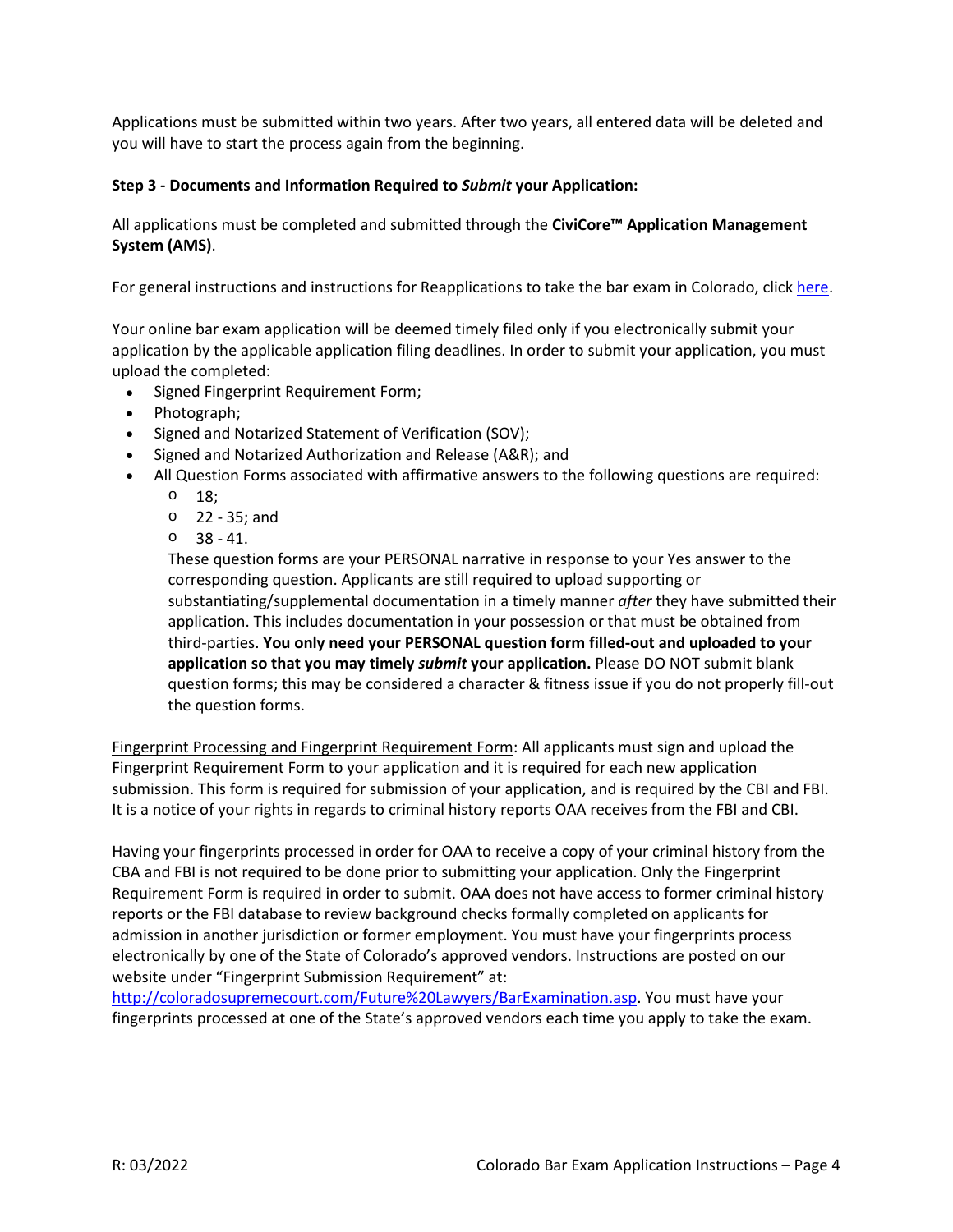Applications must be submitted within two years. After two years, all entered data will be deleted and you will have to start the process again from the beginning.

# **Step 3 - Documents and Information Required to** *Submit* **your Application:**

All applications must be completed and submitted through the **[CiviCore™ Application Management](https://csc.civicore.com/index.php?action=userLogin)  [System \(AMS\)](https://csc.civicore.com/index.php?action=userLogin)**.

For general instructions and instructions for Reapplications to take the bar exam in Colorado, click [here.](https://coloradosupremecourt.com/Future%20Lawyers/ApplicationInstructions.asp)

Your online bar exam application will be deemed timely filed only if you electronically submit your application by the applicable application filing deadlines. In order to submit your application, you must upload the completed:

- Signed Fingerprint Requirement Form;
- Photograph;
- Signed and Notarized Statement of Verification (SOV);
- Signed and Notarized Authorization and Release (A&R); and
- All Question Forms associated with affirmative answers to the following questions are required:
	- o 18;
	- o 22 35; and
	- o 38 41.

These question forms are your PERSONAL narrative in response to your Yes answer to the corresponding question. Applicants are still required to upload supporting or substantiating/supplemental documentation in a timely manner *after* they have submitted their application. This includes documentation in your possession or that must be obtained from third-parties. **You only need your PERSONAL question form filled-out and uploaded to your application so that you may timely** *submit* **your application.** Please DO NOT submit blank question forms; this may be considered a character & fitness issue if you do not properly fill-out the question forms.

Fingerprint Processing and Fingerprint Requirement Form: All applicants must sign and upload the Fingerprint Requirement Form to your application and it is required for each new application submission. This form is required for submission of your application, and is required by the CBI and FBI. It is a notice of your rights in regards to criminal history reports OAA receives from the FBI and CBI.

Having your fingerprints processed in order for OAA to receive a copy of your criminal history from the CBA and FBI is not required to be done prior to submitting your application. Only the Fingerprint Requirement Form is required in order to submit. OAA does not have access to former criminal history reports or the FBI database to review background checks formally completed on applicants for admission in another jurisdiction or former employment. You must have your fingerprints process electronically by one of the State of Colorado's approved vendors. Instructions are posted on our website under "Fingerprint Submission Requirement" at:

[http://coloradosupremecourt.com/Future%20Lawyers/BarExamination.asp.](http://coloradosupremecourt.com/Future%20Lawyers/BarExamination.asp) You must have your fingerprints processed at one of the State's approved vendors each time you apply to take the exam.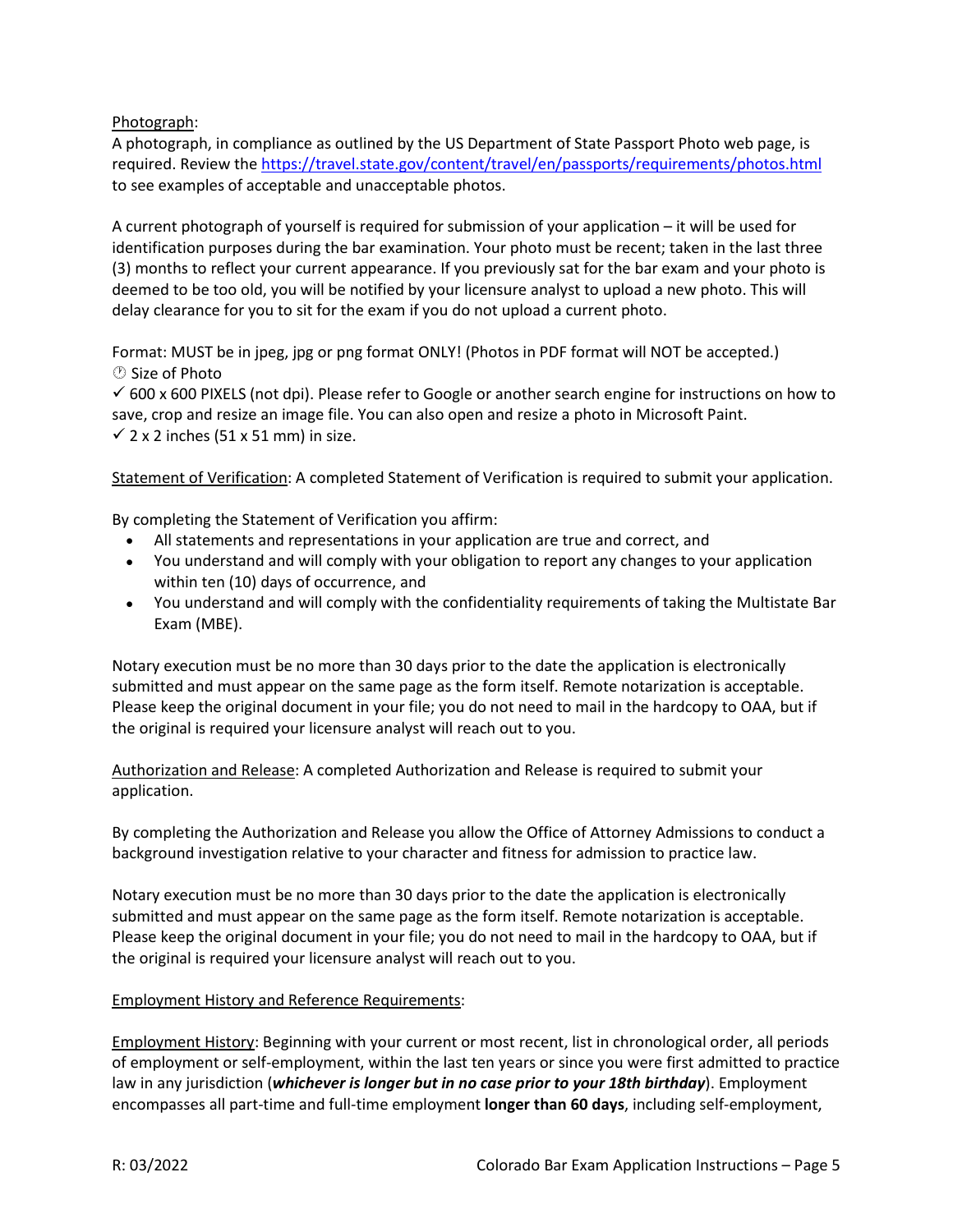Photograph:

A photograph, in compliance as outlined by the US Department of State Passport Photo web page, is required. Review the<https://travel.state.gov/content/travel/en/passports/requirements/photos.html> to see examples of acceptable and unacceptable photos.

A current photograph of yourself is required for submission of your application – it will be used for identification purposes during the bar examination. Your photo must be recent; taken in the last three (3) months to reflect your current appearance. If you previously sat for the bar exam and your photo is deemed to be too old, you will be notified by your licensure analyst to upload a new photo. This will delay clearance for you to sit for the exam if you do not upload a current photo.

Format: MUST be in jpeg, jpg or png format ONLY! (Photos in PDF format will NOT be accepted.) *O* Size of Photo

 $600 \times 600$  PIXELS (not dpi). Please refer to Google or another search engine for instructions on how to save, crop and resize an image file. You can also open and resize a photo in Microsoft Paint.  $\checkmark$  2 x 2 inches (51 x 51 mm) in size.

Statement of Verification: A completed Statement of Verification is required to submit your application.

By completing the Statement of Verification you affirm:

- All statements and representations in your application are true and correct, and
- You understand and will comply with your obligation to report any changes to your application within ten (10) days of occurrence, and
- You understand and will comply with the confidentiality requirements of taking the Multistate Bar Exam (MBE).

Notary execution must be no more than 30 days prior to the date the application is electronically submitted and must appear on the same page as the form itself. Remote notarization is acceptable. Please keep the original document in your file; you do not need to mail in the hardcopy to OAA, but if the original is required your licensure analyst will reach out to you.

Authorization and Release: A completed Authorization and Release is required to submit your application.

By completing the Authorization and Release you allow the Office of Attorney Admissions to conduct a background investigation relative to your character and fitness for admission to practice law.

Notary execution must be no more than 30 days prior to the date the application is electronically submitted and must appear on the same page as the form itself. Remote notarization is acceptable. Please keep the original document in your file; you do not need to mail in the hardcopy to OAA, but if the original is required your licensure analyst will reach out to you.

## Employment History and Reference Requirements:

Employment History: Beginning with your current or most recent, list in chronological order, all periods of employment or self-employment, within the last ten years or since you were first admitted to practice law in any jurisdiction (*whichever is longer but in no case prior to your 18th birthday*). Employment encompasses all part-time and full-time employment **longer than 60 days**, including self-employment,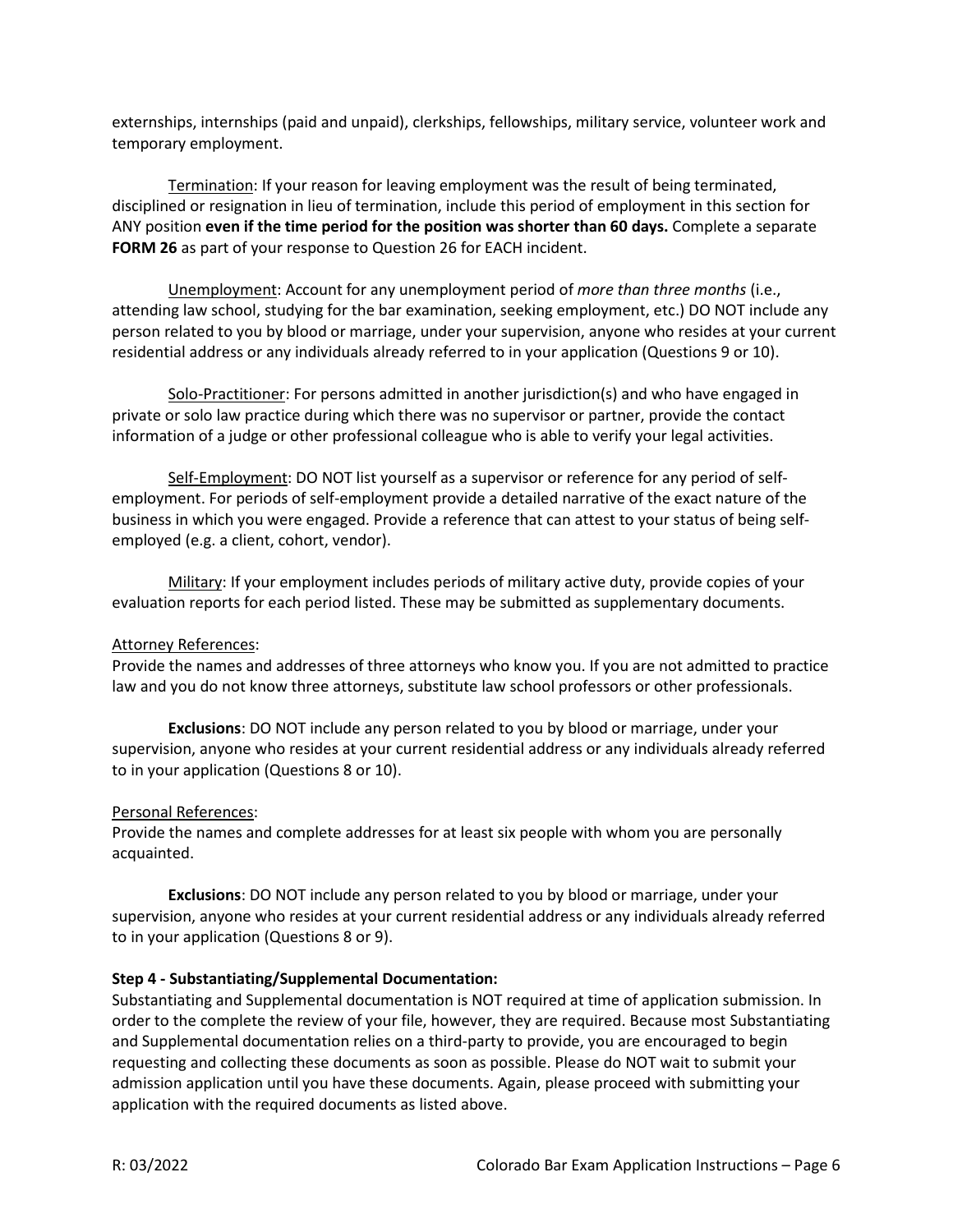externships, internships (paid and unpaid), clerkships, fellowships, military service, volunteer work and temporary employment.

Termination: If your reason for leaving employment was the result of being terminated, disciplined or resignation in lieu of termination, include this period of employment in this section for ANY position **even if the time period for the position was shorter than 60 days.** Complete a separate **FORM 26** as part of your response to Question 26 for EACH incident.

Unemployment: Account for any unemployment period of *more than three months* (i.e., attending law school, studying for the bar examination, seeking employment, etc.) DO NOT include any person related to you by blood or marriage, under your supervision, anyone who resides at your current residential address or any individuals already referred to in your application (Questions 9 or 10).

Solo-Practitioner: For persons admitted in another jurisdiction(s) and who have engaged in private or solo law practice during which there was no supervisor or partner, provide the contact information of a judge or other professional colleague who is able to verify your legal activities.

Self-Employment: DO NOT list yourself as a supervisor or reference for any period of selfemployment. For periods of self-employment provide a detailed narrative of the exact nature of the business in which you were engaged. Provide a reference that can attest to your status of being selfemployed (e.g. a client, cohort, vendor).

Military: If your employment includes periods of military active duty, provide copies of your evaluation reports for each period listed. These may be submitted as supplementary documents.

## Attorney References:

Provide the names and addresses of three attorneys who know you. If you are not admitted to practice law and you do not know three attorneys, substitute law school professors or other professionals.

**Exclusions**: DO NOT include any person related to you by blood or marriage, under your supervision, anyone who resides at your current residential address or any individuals already referred to in your application (Questions 8 or 10).

## Personal References:

Provide the names and complete addresses for at least six people with whom you are personally acquainted.

**Exclusions**: DO NOT include any person related to you by blood or marriage, under your supervision, anyone who resides at your current residential address or any individuals already referred to in your application (Questions 8 or 9).

## **Step 4 - Substantiating/Supplemental Documentation:**

Substantiating and Supplemental documentation is NOT required at time of application submission. In order to the complete the review of your file, however, they are required. Because most Substantiating and Supplemental documentation relies on a third-party to provide, you are encouraged to begin requesting and collecting these documents as soon as possible. Please do NOT wait to submit your admission application until you have these documents. Again, please proceed with submitting your application with the required documents as listed above.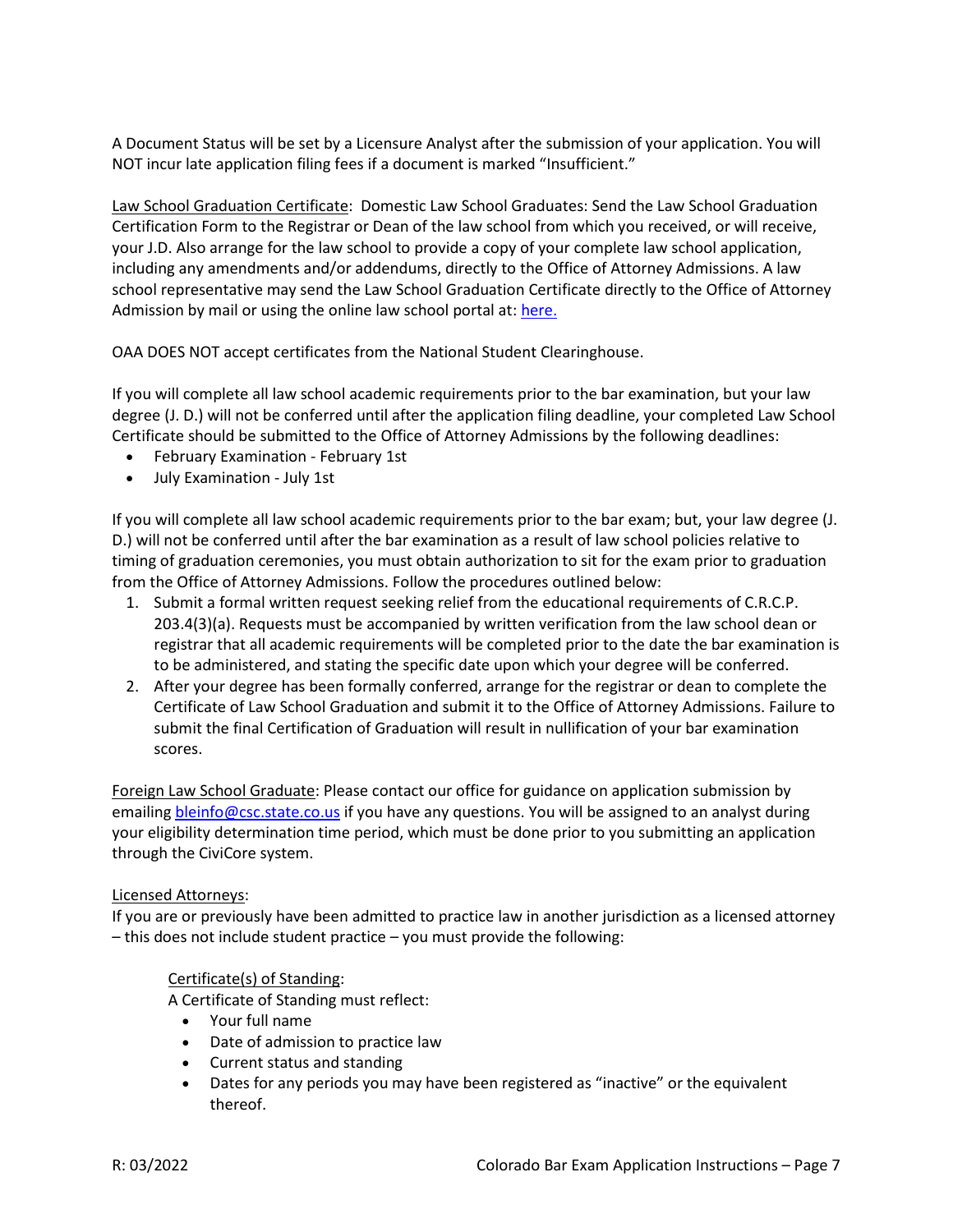A Document Status will be set by a Licensure Analyst after the submission of your application. You will NOT incur late application filing fees if a document is marked "Insufficient."

Law School Graduation Certificate: Domestic Law School Graduates: Send the Law School Graduation Certification Form to the Registrar or Dean of the law school from which you received, or will receive, your J.D. Also arrange for the law school to provide a copy of your complete law school application, including any amendments and/or addendums, directly to the Office of Attorney Admissions. A law school representative may send the Law School Graduation Certificate directly to the Office of Attorney Admission by mail or using the online law school portal at[: here.](https://www.cognitoforms.com/ColoradoSupremeCourtOfficeOfAttorneyRegulationCounsel/ColoradoSupremeCourtOfficeOfAttorneyAdmissionsLawSchoolDocumentSubmissionPortal)

OAA DOES NOT accept certificates from the National Student Clearinghouse.

If you will complete all law school academic requirements prior to the bar examination, but your law degree (J. D.) will not be conferred until after the application filing deadline, your completed Law School Certificate should be submitted to the Office of Attorney Admissions by the following deadlines:

- February Examination February 1st
- July Examination July 1st

If you will complete all law school academic requirements prior to the bar exam; but, your law degree (J. D.) will not be conferred until after the bar examination as a result of law school policies relative to timing of graduation ceremonies, you must obtain authorization to sit for the exam prior to graduation from the Office of Attorney Admissions. Follow the procedures outlined below:

- 1. Submit a formal written request seeking relief from the educational requirements of C.R.C.P. 203.4(3)(a). Requests must be accompanied by written verification from the law school dean or registrar that all academic requirements will be completed prior to the date the bar examination is to be administered, and stating the specific date upon which your degree will be conferred.
- 2. After your degree has been formally conferred, arrange for the registrar or dean to complete the Certificate of Law School Graduation and submit it to the Office of Attorney Admissions. Failure to submit the final Certification of Graduation will result in nullification of your bar examination scores.

Foreign Law School Graduate: Please contact our office for guidance on application submission by emailing **bleinfo@csc.state.co.us** if you have any questions. You will be assigned to an analyst during your eligibility determination time period, which must be done prior to you submitting an application through the CiviCore system.

## Licensed Attorneys:

If you are or previously have been admitted to practice law in another jurisdiction as a licensed attorney – this does not include student practice – you must provide the following:

## Certificate(s) of Standing:

A Certificate of Standing must reflect:

- Your full name
- Date of admission to practice law
- Current status and standing
- Dates for any periods you may have been registered as "inactive" or the equivalent thereof.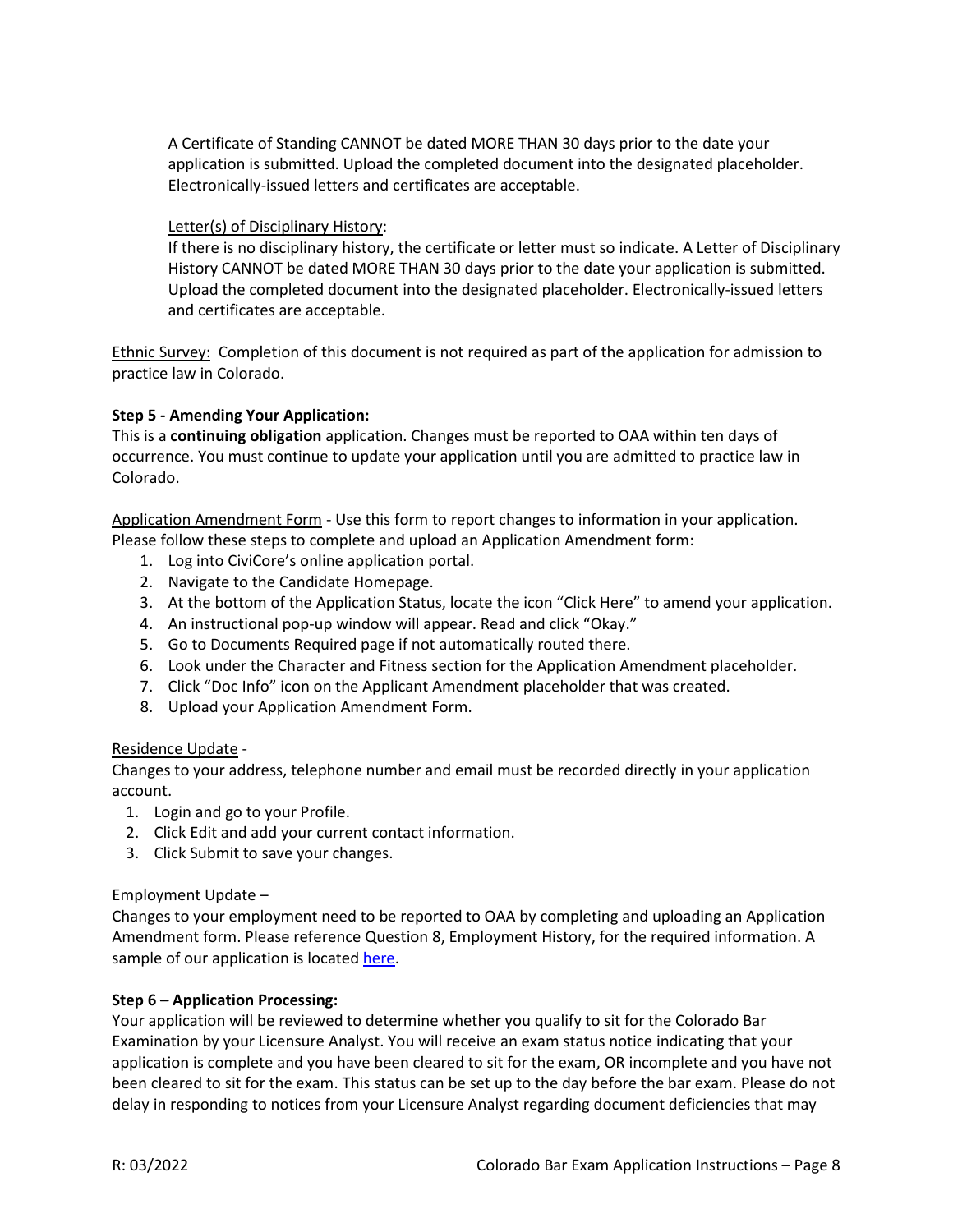A Certificate of Standing CANNOT be dated MORE THAN 30 days prior to the date your application is submitted. Upload the completed document into the designated placeholder. Electronically-issued letters and certificates are acceptable.

#### Letter(s) of Disciplinary History:

If there is no disciplinary history, the certificate or letter must so indicate. A Letter of Disciplinary History CANNOT be dated MORE THAN 30 days prior to the date your application is submitted. Upload the completed document into the designated placeholder. Electronically-issued letters and certificates are acceptable.

Ethnic Survey: Completion of this document is not required as part of the application for admission to practice law in Colorado.

#### **Step 5 - Amending Your Application:**

This is a **continuing obligation** application. Changes must be reported to OAA within ten days of occurrence. You must continue to update your application until you are admitted to practice law in Colorado.

Application Amendment Form - Use this form to report changes to information in your application. Please follow these steps to complete and upload an Application Amendment form:

- 1. Log into CiviCore's online application portal.
- 2. Navigate to the Candidate Homepage.
- 3. At the bottom of the Application Status, locate the icon "Click Here" to amend your application.
- 4. An instructional pop-up window will appear. Read and click "Okay."
- 5. Go to Documents Required page if not automatically routed there.
- 6. Look under the Character and Fitness section for the Application Amendment placeholder.
- 7. Click "Doc Info" icon on the Applicant Amendment placeholder that was created.
- 8. Upload your Application Amendment Form.

#### Residence Update -

Changes to your address, telephone number and email must be recorded directly in your application account.

- 1. Login and go to your Profile.
- 2. Click Edit and add your current contact information.
- 3. Click Submit to save your changes.

## Employment Update –

Changes to your employment need to be reported to OAA by completing and uploading an Application Amendment form. Please reference Question 8, Employment History, for the required information. A sample of our application is located [here.](https://coloradosupremecourt.com/PDF/BLE/App%20with%20Forms.pdf)

#### **Step 6 – Application Processing:**

Your application will be reviewed to determine whether you qualify to sit for the Colorado Bar Examination by your Licensure Analyst. You will receive an exam status notice indicating that your application is complete and you have been cleared to sit for the exam, OR incomplete and you have not been cleared to sit for the exam. This status can be set up to the day before the bar exam. Please do not delay in responding to notices from your Licensure Analyst regarding document deficiencies that may